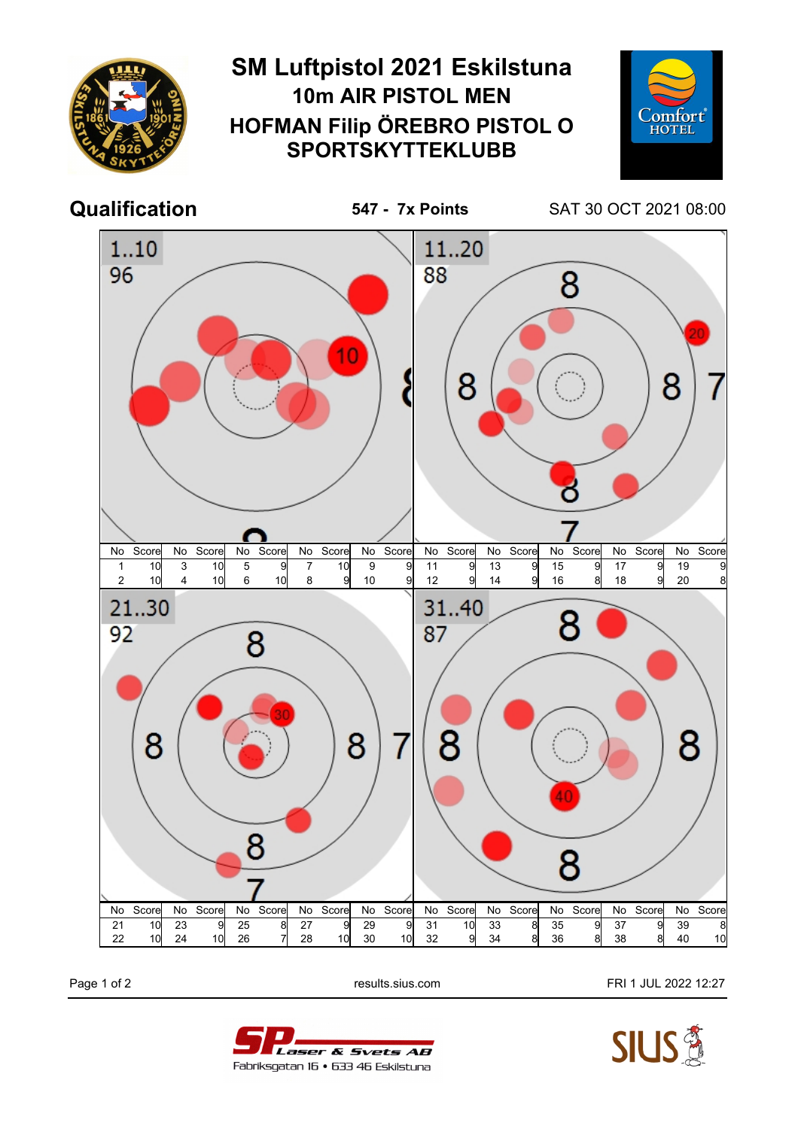

Page 1 of 2 **Page 1 of 2** results.sius.com **FRI 1 JUL 2022 12:27**